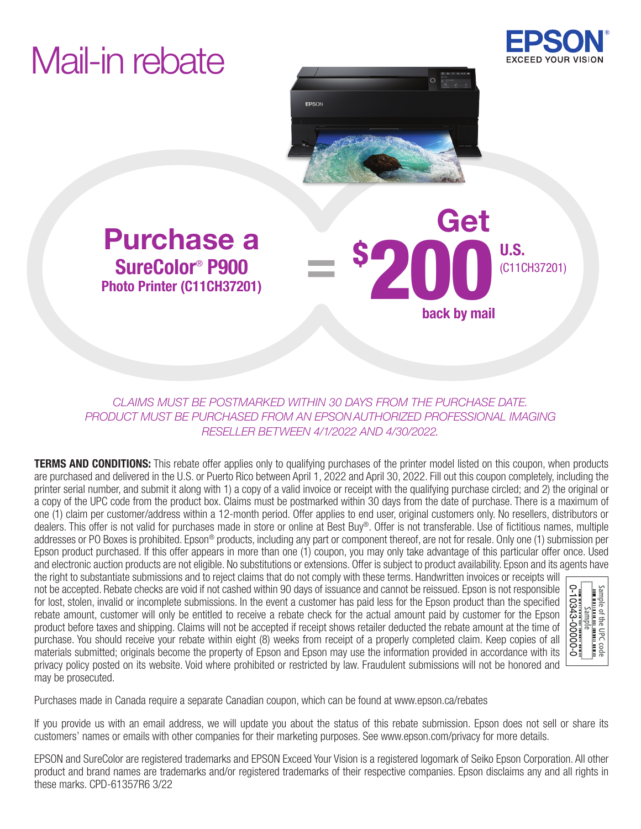# Mail-in rebate





back by mail

\$ 200 U.S.

### Purchase a Company Get SureColor® P900 Photo Printer (C11CH37201)

*CLAIMS MUST BE POSTMARKED WITHIN 30 DAYS FROM THE PURCHASE DATE. PRODUCT MUST BE PURCHASED FROM AN EPSON AUTHORIZED PROFESSIONAL IMAGING RESELLER BETWEEN 4/1/2022 AND 4/30/2022.*

=

**TERMS AND CONDITIONS:** This rebate offer applies only to qualifying purchases of the printer model listed on this coupon, when products are purchased and delivered in the U.S. or Puerto Rico between April 1, 2022 and April 30, 2022. Fill out this coupon completely, including the printer serial number, and submit it along with 1) a copy of a valid invoice or receipt with the qualifying purchase circled; and 2) the original or a copy of the UPC code from the product box. Claims must be postmarked within 30 days from the date of purchase. There is a maximum of one (1) claim per customer/address within a 12-month period. Offer applies to end user, original customers only. No resellers, distributors or dealers. This offer is not valid for purchases made in store or online at Best Buy®. Offer is not transferable. Use of fictitious names, multiple addresses or PO Boxes is prohibited. Epson® products, including any part or component thereof, are not for resale. Only one (1) submission per Epson product purchased. If this offer appears in more than one (1) coupon, you may only take advantage of this particular offer once. Used and electronic auction products are not eligible. No substitutions or extensions. Offer is subject to product availability. Epson and its agents have

the right to substantiate submissions and to reject claims that do not comply with these terms. Handwritten invoices or receipts will not be accepted. Rebate checks are void if not cashed within 90 days of issuance and cannot be reissued. Epson is not responsible for lost, stolen, invalid or incomplete submissions. In the event a customer has paid less for the Epson product than the specified rebate amount, customer will only be entitled to receive a rebate check for the actual amount paid by customer for the Epson product before taxes and shipping. Claims will not be accepted if receipt shows retailer deducted the rebate amount at the time of purchase. You should receive your rebate within eight (8) weeks from receipt of a properly completed claim. Keep copies of all materials submitted; originals become the property of Epson and Epson may use the information provided in accordance with its privacy policy posted on its website. Void where prohibited or restricted by law. Fraudulent submissions will not be honored and may be prosecuted.



Purchases made in Canada require a separate Canadian coupon, which can be found at www.epson.ca/rebates

If you provide us with an email address, we will update you about the status of this rebate submission. Epson does not sell or share its customers' names or emails with other companies for their marketing purposes. See www.epson.com/privacy for more details.

EPSON and SureColor are registered trademarks and EPSON Exceed Your Vision is a registered logomark of Seiko Epson Corporation. All other product and brand names are trademarks and/or registered trademarks of their respective companies. Epson disclaims any and all rights in these marks. CPD-61357R6 3/22